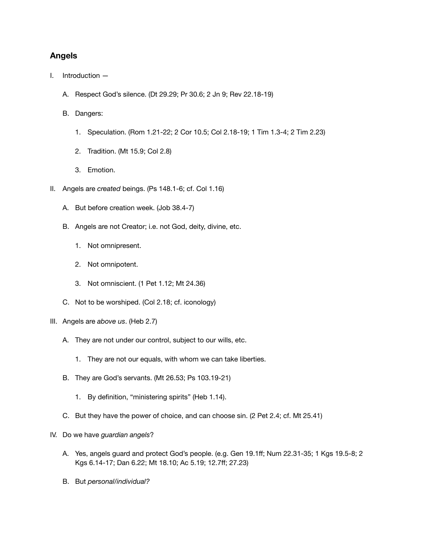## **Angels**

- I. Introduction
	- A. Respect God's silence. (Dt 29.29; Pr 30.6; 2 Jn 9; Rev 22.18-19)
	- B. Dangers:
		- 1. Speculation. (Rom 1.21-22; 2 Cor 10.5; Col 2.18-19; 1 Tim 1.3-4; 2 Tim 2.23)
		- 2. Tradition. (Mt 15.9; Col 2.8)
		- 3. Emotion.
- II. Angels are *created* beings. (Ps 148.1-6; cf. Col 1.16)
	- A. But before creation week. (Job 38.4-7)
	- B. Angels are not Creator; i.e. not God, deity, divine, etc.
		- 1. Not omnipresent.
		- 2. Not omnipotent.
		- 3. Not omniscient. (1 Pet 1.12; Mt 24.36)
	- C. Not to be worshiped. (Col 2.18; cf. iconology)
- III. Angels are *above us*. (Heb 2.7)
	- A. They are not under our control, subject to our wills, etc.
		- 1. They are not our equals, with whom we can take liberties.
	- B. They are God's servants. (Mt 26.53; Ps 103.19-21)
		- 1. By definition, "ministering spirits" (Heb 1.14).
	- C. But they have the power of choice, and can choose sin. (2 Pet 2.4; cf. Mt 25.41)
- IV. Do we have *guardian angels*?
	- A. Yes, angels guard and protect God's people. (e.g. Gen 19.1ff; Num 22.31-35; 1 Kgs 19.5-8; 2 Kgs 6.14-17; Dan 6.22; Mt 18.10; Ac 5.19; 12.7ff; 27.23)
	- B. But *personal/individual?*